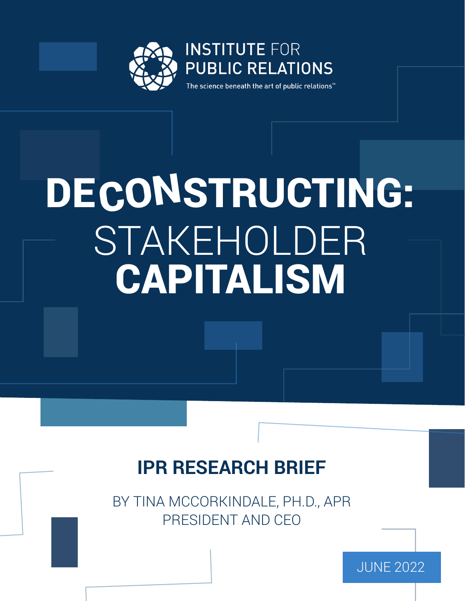

# ECONSTRUCT STAKEHOLDER CAPITALISM DE CONSTRUCTING:

### **IPR RESEARCH BRIEF**

BY TINA MCCORKINDALE, PH.D., APR PRESIDENT AND CEO

JUNE 2022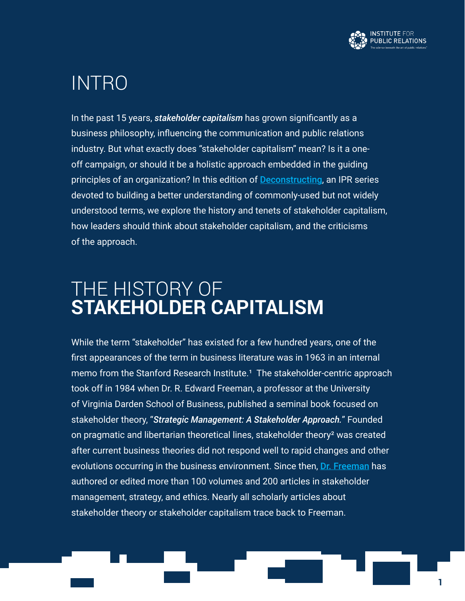

### INTRO

In the past 15 years, *stakeholder capitalism* has grown significantly as a business philosophy, influencing the communication and public relations industry. But what exactly does "stakeholder capitalism" mean? Is it a oneoff campaign, or should it be a holistic approach embedded in the guiding principles of an organization? In this edition of [Deconstructing](https://instituteforpr.org/category/deconstructing/), an IPR series devoted to building a better understanding of commonly-used but not widely understood terms, we explore the history and tenets of stakeholder capitalism, how leaders should think about stakeholder capitalism, and the criticisms of the approach.

### THE HISTORY OF **STAKEHOLDER CAPITALISM**

While the term "stakeholder" has existed for a few hundred years, one of the first appearances of the term in business literature was in 1963 in an internal memo from the Stanford Research Institute.<sup>1</sup> The stakeholder-centric approach took off in 1984 when Dr. R. Edward Freeman, a professor at the University of Virginia Darden School of Business, published a seminal book focused on stakeholder theory, "*Strategic Management: A Stakeholder Approach.*" Founded on pragmatic and libertarian theoretical lines, stakeholder theory² was created after current business theories did not respond well to rapid changes and other evolutions occurring in the business environment. Since then, Dr. [Freeman](https://www.darden.virginia.edu/faculty-research/directory/r-edward-freeman) has authored or edited more than 100 volumes and 200 articles in stakeholder management, strategy, and ethics. Nearly all scholarly articles about stakeholder theory or stakeholder capitalism trace back to Freeman.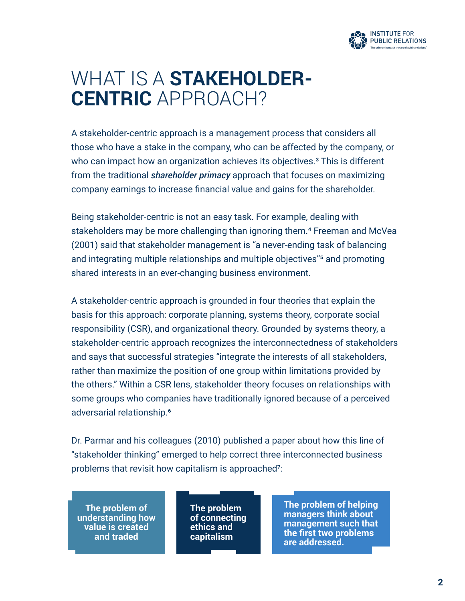

### WHAT IS A **STAKEHOLDER-CENTRIC** APPROACH?

A stakeholder-centric approach is a management process that considers all those who have a stake in the company, who can be affected by the company, or who can impact how an organization achieves its objectives.<sup>3</sup> This is different from the traditional *shareholder primacy* approach that focuses on maximizing company earnings to increase financial value and gains for the shareholder.

Being stakeholder-centric is not an easy task. For example, dealing with stakeholders may be more challenging than ignoring them.<sup>4</sup> Freeman and McVea (2001) said that stakeholder management is "a never-ending task of balancing and integrating multiple relationships and multiple objectives"5 and promoting shared interests in an ever-changing business environment.

A stakeholder-centric approach is grounded in four theories that explain the basis for this approach: corporate planning, systems theory, corporate social responsibility (CSR), and organizational theory. Grounded by systems theory, a stakeholder-centric approach recognizes the interconnectedness of stakeholders and says that successful strategies "integrate the interests of all stakeholders, rather than maximize the position of one group within limitations provided by the others." Within a CSR lens, stakeholder theory focuses on relationships with some groups who companies have traditionally ignored because of a perceived adversarial relationship.6

Dr. Parmar and his colleagues (2010) published a paper about how this line of "stakeholder thinking" emerged to help correct three interconnected business problems that revisit how capitalism is approached<sup>7</sup>:

**The problem of understanding how value is created and traded**

**The problem of connecting ethics and capitalism**

**The problem of helping managers think about management such that the first two problems are addressed.**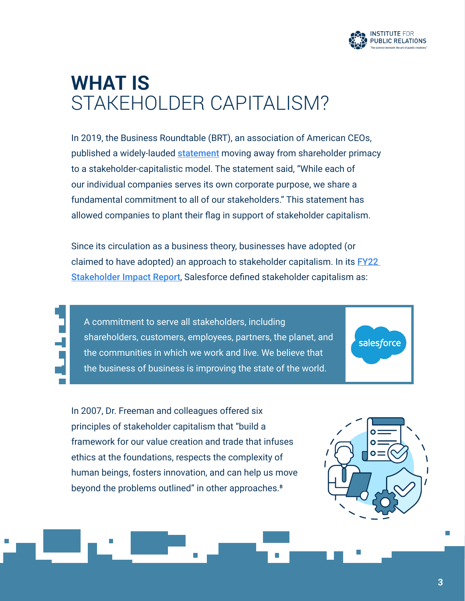

# **WHAT IS**  STAKEHOLDER CAPITALISM?

In 2019, the Business Roundtable (BRT), an association of American CEOs, published a widely-lauded **[statement](https://www.businessroundtable.org/business-roundtable-redefines-the-purpose-of-a-corporation-to-promote-an-economy-that-serves-all-americans)** moving away from shareholder primacy to a stakeholder-capitalistic model. The statement said, "While each of our individual companies serves its own corporate purpose, we share a fundamental commitment to all of our stakeholders." This statement has allowed companies to plant their flag in support of stakeholder capitalism.

Since its circulation as a business theory, businesses have adopted (or claimed to have adopted) an approach to stakeholder capitalism. In its **FY22** [Stakeholder Impact Report](https://stakeholderimpactreport.salesforce.com/), Salesforce defined stakeholder capitalism as:

A commitment to serve all stakeholders, including shareholders, customers, employees, partners, the planet, and the communities in which we work and live. We believe that the business of business is improving the state of the world.

In 2007, Dr. Freeman and colleagues offered six principles of stakeholder capitalism that "build a framework for our value creation and trade that infuses ethics at the foundations, respects the complexity of human beings, fosters innovation, and can help us move beyond the problems outlined" in other approaches.<sup>8</sup>



salesforce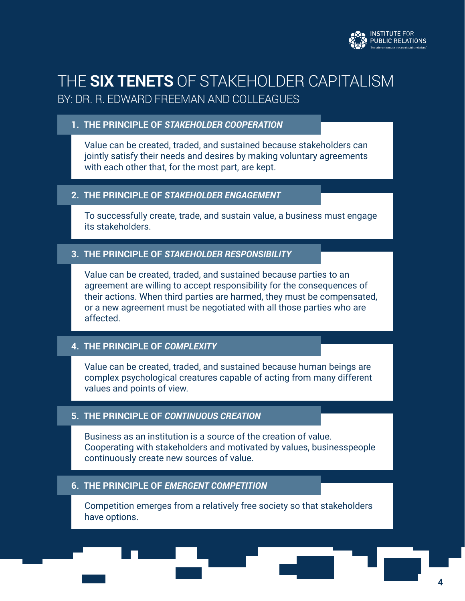

### THE **SIX TENETS** OF STAKEHOLDER CAPITALISM BY: DR. R. EDWARD FREEMAN AND COLLEAGUES

#### **1. THE PRINCIPLE OF** *STAKEHOLDER COOPERATION*

Value can be created, traded, and sustained because stakeholders can jointly satisfy their needs and desires by making voluntary agreements with each other that, for the most part, are kept.

#### **2. THE PRINCIPLE OF** *STAKEHOLDER ENGAGEMENT*

To successfully create, trade, and sustain value, a business must engage its stakeholders.

#### **3. THE PRINCIPLE OF** *STAKEHOLDER RESPONSIBILITY*

Value can be created, traded, and sustained because parties to an agreement are willing to accept responsibility for the consequences of their actions. When third parties are harmed, they must be compensated, or a new agreement must be negotiated with all those parties who are affected.

#### **4. THE PRINCIPLE OF** *COMPLEXITY*

Value can be created, traded, and sustained because human beings are complex psychological creatures capable of acting from many different values and points of view.

#### **5. THE PRINCIPLE OF** *CONTINUOUS CREATION*

Business as an institution is a source of the creation of value. Cooperating with stakeholders and motivated by values, businesspeople continuously create new sources of value.

#### **6. THE PRINCIPLE OF** *EMERGENT COMPETITION*

Competition emerges from a relatively free society so that stakeholders have options.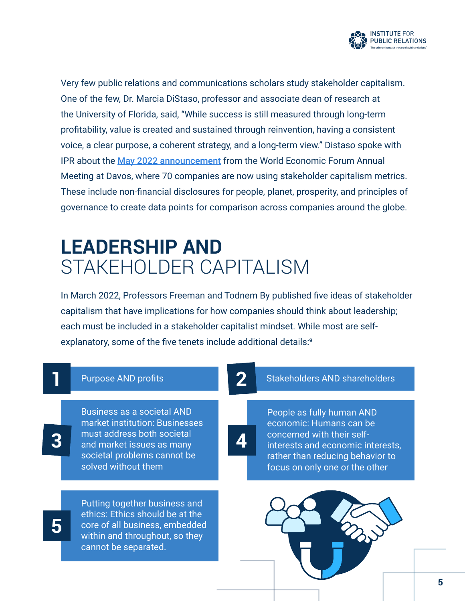

Very few public relations and communications scholars study stakeholder capitalism. One of the few, Dr. Marcia DiStaso, professor and associate dean of research at the University of Florida, said, "While success is still measured through long-term profitability, value is created and sustained through reinvention, having a consistent voice, a clear purpose, a coherent strategy, and a long-term view." Distaso spoke with IPR about the [May 2022 announcement](https://www.weforum.org/impact/stakeholder-capitalism-50-companies-adopt-esg-reporting-metrics/) from the World Economic Forum Annual Meeting at Davos, where 70 companies are now using stakeholder capitalism metrics. These include non-financial disclosures for people, planet, prosperity, and principles of governance to create data points for comparison across companies around the globe.

# **LEADERSHIP AND**  STAKEHOLDER CAPITALISM

In March 2022, Professors Freeman and Todnem By published five ideas of stakeholder capitalism that have implications for how companies should think about leadership; each must be included in a stakeholder capitalist mindset. While most are selfexplanatory, some of the five tenets include additional details:<sup>9</sup>

#### Purpose AND profits

Business as a societal AND market institution: Businesses must address both societal and market issues as many societal problems cannot be solved without them

**3**

**5**

Putting together business and ethics: Ethics should be at the core of all business, embedded within and throughout, so they cannot be separated.

#### Stakeholders AND shareholders

**4**

**2**

People as fully human AND economic: Humans can be concerned with their selfinterests and economic interests, rather than reducing behavior to focus on only one or the other

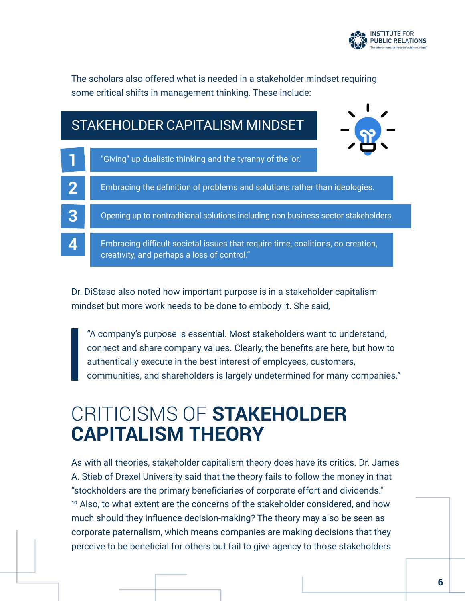

The scholars also offered what is needed in a stakeholder mindset requiring some critical shifts in management thinking. These include:

### "Giving" up dualistic thinking and the tyranny of the 'or.' Embracing the definition of problems and solutions rather than ideologies. Opening up to nontraditional solutions including non-business sector stakeholders. Embracing difficult societal issues that require time, coalitions, co-creation, creativity, and perhaps a loss of control." **1 2 3 4** STAKEHOLDER CAPITALISM MINDSET

Dr. DiStaso also noted how important purpose is in a stakeholder capitalism mindset but more work needs to be done to embody it. She said,

 "A company's purpose is essential. Most stakeholders want to understand, connect and share company values. Clearly, the benefits are here, but how to authentically execute in the best interest of employees, customers, communities, and shareholders is largely undetermined for many companies."

# CRITICISMS OF **STAKEHOLDER CAPITALISM THEORY**

As with all theories, stakeholder capitalism theory does have its critics. Dr. James A. Stieb of Drexel University said that the theory fails to follow the money in that "stockholders are the primary beneficiaries of corporate effort and dividends." <sup>10</sup> Also, to what extent are the concerns of the stakeholder considered, and how much should they influence decision-making? The theory may also be seen as corporate paternalism, which means companies are making decisions that they perceive to be beneficial for others but fail to give agency to those stakeholders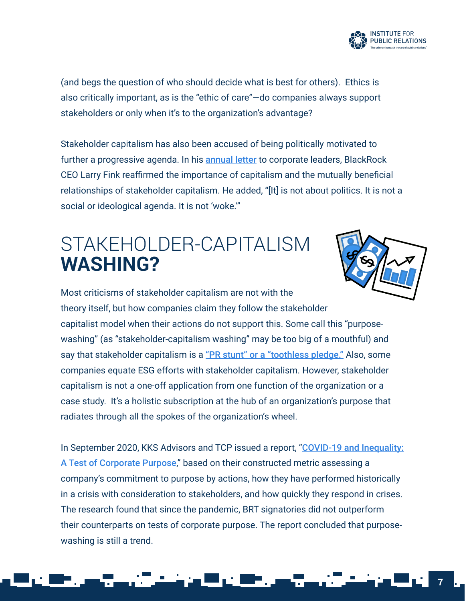

(and begs the question of who should decide what is best for others). Ethics is also critically important, as is the "ethic of care"—do companies always support stakeholders or only when it's to the organization's advantage?

Stakeholder capitalism has also been accused of being politically motivated to further a progressive agenda. In his **[annual letter](https://www.blackrock.com/corporate/investor-relations/larry-fink-ceo-letter)** to corporate leaders, BlackRock CEO Larry Fink reaffirmed the importance of capitalism and the mutually beneficial relationships of stakeholder capitalism. He added, "[It] is not about politics. It is not a social or ideological agenda. It is not 'woke.'"

### STAKEHOLDER-CAPITALISM **WASHING?**



Most criticisms of stakeholder capitalism are not with the theory itself, but how companies claim they follow the stakeholder capitalist model when their actions do not support this. Some call this "purposewashing" (as "stakeholder-capitalism washing" may be too big of a mouthful) and say that stakeholder capitalism is a ["PR stunt" or a "toothless pledge."](https://www.greenbiz.com/article/stakeholder-capitalism-not-if-when) Also, some companies equate ESG efforts with stakeholder capitalism. However, stakeholder capitalism is not a one-off application from one function of the organization or a

case study. It's a holistic subscription at the hub of an organization's purpose that radiates through all the spokes of the organization's wheel.

In September 2020, KKS Advisors and TCP issued a report, "COVID-19 and Inequality: [A Test of Corporate Purpose](https://www.sustainabilityrisk.org/_files/ugd/f64551_63f016a989db4dfeaa636d5a659d691a.pdf)," based on their constructed metric assessing a company's commitment to purpose by actions, how they have performed historically in a crisis with consideration to stakeholders, and how quickly they respond in crises. The research found that since the pandemic, BRT signatories did not outperform their counterparts on tests of corporate purpose. The report concluded that purposewashing is still a trend.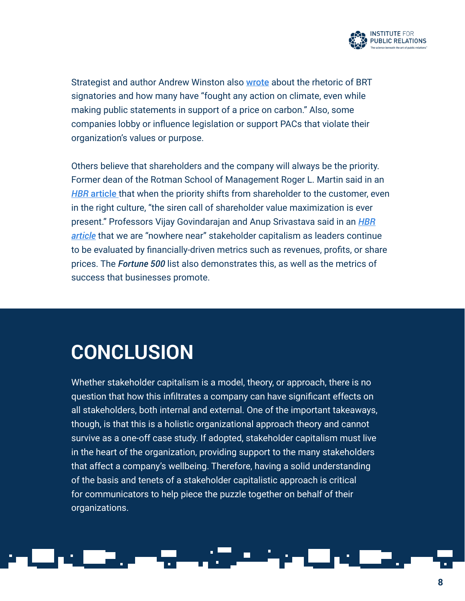

Strategist and author Andrew Winston also [wrote](https://hbr.org/2019/08/is-the-business-roundtable-statement-just-empty-rhetoric) about the rhetoric of BRT signatories and how many have "fought any action on climate, even while making public statements in support of a price on carbon." Also, some companies lobby or influence legislation or support PACs that violate their organization's values or purpose.

Others believe that shareholders and the company will always be the priority. Former dean of the Rotman School of Management Roger L. Martin said in an *HBR* [article](https://hbr.org/2010/01/the-age-of-customer-capitalism#:~:text=The%20second%2C%20shareholder%20value%20capitalism,shareholders%20and%20society%20will%20benefit.) that when the priority shifts from shareholder to the customer, even in the right culture, "the siren call of shareholder value maximization is ever present." Professors Vijay Govindarajan and Anup Srivastava said in an *[HBR](https://hbr.org/2020/01/we-are-nowhere-near-stakeholder-capitalism) [article](https://hbr.org/2020/01/we-are-nowhere-near-stakeholder-capitalism)* that we are "nowhere near" stakeholder capitalism as leaders continue to be evaluated by financially-driven metrics such as revenues, profits, or share prices. The *Fortune 500* list also demonstrates this, as well as the metrics of success that businesses promote.

### **CONCLUSION**

Whether stakeholder capitalism is a model, theory, or approach, there is no question that how this infiltrates a company can have significant effects on all stakeholders, both internal and external. One of the important takeaways, though, is that this is a holistic organizational approach theory and cannot survive as a one-off case study. If adopted, stakeholder capitalism must live in the heart of the organization, providing support to the many stakeholders that affect a company's wellbeing. Therefore, having a solid understanding of the basis and tenets of a stakeholder capitalistic approach is critical for communicators to help piece the puzzle together on behalf of their organizations.